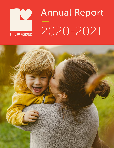

# Annual Report — 2020-2021

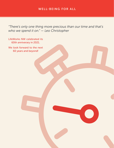## WELL-BEING FOR ALL

*"There's only one thing more precious than our time and that's who we spend it on." — Leo Christopher*

LifeWorks NW celebrated its 60th anniverary in 2021. We look forward to the next 60 years and beyond!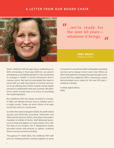### A LETTER FROM OUR BOARD CHAIR



 $'$ ...we're ready for the next 60 years whatever it brings.

#### ABBY WEAST BOARD CHAIR

When LifeWorks NW thought about celebrating our 60th anniversary in fiscal year 2020-21, we weren't anticipating a worldwide pandemic that would lead to changes in health, in social interactions and in cultural norms. We had not anticipated the need to move half our staff and clients to remote services. Or to be offering free COVID-related mental health services in collaboration with two counties. We didn't know clients would need us to focus on providing life-sustaining basics.

But LifeWorks NW has always excelled at change. In 1961, we offered services only to children and in a single county. Today, we serve clients of all ages across the metro tri-county area.

So when the world changed in 2020, the staff rotated quickly and efficiently, providing Telehealth and other remote services within a few days of the state's mandate to shelter at home. Staff delivered basics, such as food and diapers, to many clients. And, with the help of our funders, the IT department swiftly provided clients with phones or tablets, enabling them to access services remotely.

Throughout FY 2020-2021, the LifeWorks NW staff and our funding partners worked together to serve consumers in a world we hadn't anticipated, providing services we've always known were vital. While we didn't anticipate the changes this year brought, we're proud that the LifeWorks NW's community clearly demonstrated we're ready for the next 60 years whatever it brings.

In deep appreciation, Abby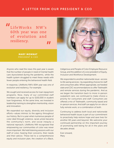### A LETTER FROM OUR PRESIDENT & CEO

 $\blacksquare$ <br>LifeWorks NW's 60th year was one of evolution and resiliency.

> MARY MONNAT PRESIDENT & CEO



Anyone who read the news this past year is aware that the number of people in need of mental health care skyrocketed during the pandemic, while the health system struggled to meet these needs with fewer people entering the behavioral health field.

In response, LifeWorks NW's 60th year was one of evolution and resiliency. For example:

We sought and received access for loan repayment programs. Now, many of our committed staff members can apply for up to \$150,000 in student loan forgiveness. At the same time, we invested in leadership training to strengthen mentorship, vision and innovation.

We expanded our equity, diversity and inclusion efforts—values intrinsic to the agency throughout our history. But in a year when numerous people of color died through violence, racial unrest became the community's norm, and social inequity a national reproach, LifeWorks NW recognized that empowering our communities of color was never more important. We held listening sessions with our staff of color, hearing their concerns, their needs and their advice. These led to a comprehensive equity and inclusion plan, the creation of a Black,

Indigenous and People of Color Employee Resource Group, and the addition of a vice president of Equity, Inclusion and Workforce Development.

We responded to another nationwide issue—access to life saving services—by expanding choices for staff and consumers alike. Where appropriate, we heeded state and CDC recommendations to offer Telehealth and remote services during the pandemic. And as we began the transition back to more in-person outpatient care, we continued to make choice a priority for consumers and staff. Consumers are offered a mix of Telehealth, community based and in-person services. And staff can apply for on-site or fully remote work, or a combination of both.

Continuing to address both local and nationwide behavioral health issues is part of our commitment to proactively help restore hope and save lives for another 60 years and beyond. We welcome your continued partnership on this important journey of promoting well-being for all in the years and decades ahead.

Ever onward, **Mary**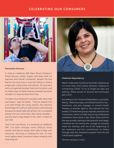### CELEBRATING OUR CONSUMERS



#### Prevention Services

A child at LifeWorks NW Main Street Children's Relief Nursery smiles, laughs and plays with his teachers and friends constantly, despite the fact that he can only cross a room by rolling or climb a jungle gym using knees and elbows. He was born with a congenital disorder that locks his joints, and his father says his Relief Nursery teacher has done wonders to improve both their lives.

"It's been nice letting him socialize with other kids and adults," says his father. "They've helped him a lot with things like using utensils. [His teacher] Romy helps him with art, with scissors, with drawing because he needs help with all that. He is constantly asking if he can come here. She's done wonders... and has been a big impact in his—well—in both of our lives.

"And it isn't just Romy, it is everyone at LifeWorks NW. I've been through some difficult times myself, and they've always been able to help with resources, like food or clothing for him…it's very much appreciated. Everyone's been amazing with what they do."



#### Chemical Dependency

Maria\* underwent numerous traumatic experiences in a short time, from severe domestic violence to contracting COVID. To try to forget her pain and sadness, Maria turned to alcohol and eventually got a DUII.

According to her Chemical Dependency counselor, Nancy, "Maria has really committed herself to her… treatment, and also engages in mental health therapy at another agency. She attends her two weekly CD treatment groups regularly and does her 'homework,' which includes practicing mindfulness meditation three times a day. When Maria told me she was actually starting to feel peaceful and happy, I thanked her for having the courage to honestly share her feelings with me at the beginning of her treatment and her commitment to follow through with the treatment program that she and I developed together."

\*Not their real photos or names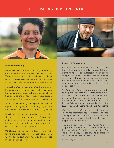### CELEBRATING OUR CONSUMERS



#### Problem Gambling

Helen\* was diagnosed with a pathological gambling disorder and severe amphetamine use disorder. These, plus mental and physical health problems, led to homelessness and threatened her life. Unable to keep a job, Helen frequently put herself in danger.

Through LifeWorks NW's integrated, holistic teambased care, she has been successful in managing her mental and physical health, and her addictions. She believes the collaborative, whole-person, consumer-centric range of services, saved her life.

"Even now, when I go by a video poker machine, I tell myself to keep going and distract myself; that was not possible before I entered treatment," says Helen.

Now in school to become an addictions counselor, she has earned her peer mentor certification. With a place to live, money in the bank and a full-time job, at the time of writing she hasn't gambled in over a year or used drugs in two.

"My life is so full, I am happy, joyful and I have finally found the true meaning of peace," says Helen. "LifeWorks NW [staff] were my angels and...inspired me to be an angel, too."

#### Supported Employment

A chef and restaurant owner discovered that the drug culture common in this field could destroy everything he cared about. He lost his restaurant, his family and his career. Eventually, the drugs affected his mental health, leaving him paranoid and angry. But when Patrick\* connected with LifeWorks NW, he got the support he needed to begin putting his life back together.

The Supported Employment program began by helping him look for work in restaurants, but he was overqualified for most jobs. He changed goals and our staff helped him successfully retrain and obtain work in a different field. But he missed his first love. When restaurants struggled to find staff in 2021, it was our chance to help change Patrick's life.

After finding the perfect restaurant job, we made sure he had chef hats and appropriate kitchen attire. We helped him fix his bike for transportation and exercise, and removed other barriers to keeping the job he wanted so much.

"You never gave up on me," Patrick told the Supported Employment staff. "Now I have a job that I love where I feel valued and respected." And Patrick knows they will continue to be there for him, when and where he needs them.

\*Not their real photos or names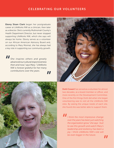### CELEBRATING OUR VOLUNTEERS

Ebony Sloan Clark began her postgraduate career at LifeWorks NW as a clinician, then later as a director. She's currently Multnomah County's Health Department Director, but never stopped supporting LifeWorks NW, which she says will always be home. Ebony serves as a volunteer on our African American Advisory Board and, according to Mary Monnat, she has always had a key role in supporting our community growth.

" *She inspires others and greatly advanced our cultural responsiveness then and now," says Mary. "LifeWorks NW is forever grateful for her many contributions over the years.* "





Dotti Cowart has served as a volunteer for almost two decades, as a board member or officer, and more recently on the Development Committee. One of the first things Dotti did when she began volunteering was to visit all the LifeWorks NW sites. By seeing the unique needs of each site, she found she was better able to support them.

" *I think the most impressive change over the years has been just watching the organization grow," she says. "Just to see this growth and watch Mary's leadership and resiliency has been a joy. I think LifeWorks NW's role will be even bigger in the future.*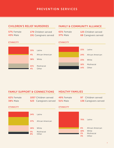### PREVENTION SERVICES

### CHILDREN'S RELIEF NURSERIES

| 57% Female      | 179 Children served   |
|-----------------|-----------------------|
| <b>43% Male</b> | 191 Caregivers served |

### FAMILY & COMMUNITY ALLIANCE

| 63% Female      | 125 Children served         |
|-----------------|-----------------------------|
| <b>37%</b> Male | <b>68 Caregivers served</b> |

### **ETHNICITY**

| 33              |
|-----------------|
| 4 <sup>°</sup>  |
| 38              |
|                 |
|                 |
| $\frac{21}{49}$ |

| 33%       | Latinx               |
|-----------|----------------------|
| 4%        | African American     |
|           | <b>38%</b> White     |
| 21%<br>4% | Multiracial<br>Other |



### FAMILY SUPPORT & CONNECTIONS

#### 62% Female 38% Male

#### 1057 Children served **523** Caregivers served

### HEALTHY FAMILIES

- 49% Female 51% Male
- 97 Children served 136 Caregivers served

#### ETHNICITY **ETHNICITY ETHNICITY**

|          | 24% Latinx                  |
|----------|-----------------------------|
|          | <b>37%</b> African American |
| 26%      | White                       |
| 5%<br>8% | Multiracial<br>Other        |

**ETHNICITY** 

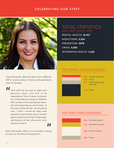### CELEBRATING OUR STAFF



Diane Benavides Wille has been with LifeWorks NW in a wide variety of clinical and operational roles for 15 years.

"

*How often do you get to align your personal values with that of an organization? And it meets my bucket list. I know that by working at LifeWorks NW, I am part of an amazing team that is not only impacting our community—at the core of what we do—we are saving lives. I think I would be really hard pressed to find another job or another agency where all of these things align, and because of that, why would I ever choose to leave?*

Diane Benavides Wille, vice president, Equity, Inclusion & Workforce Development *II*<br>quity

### TOTAL STATISTICS (July 1, 2020-June 30, 2021)

MENTAL HEALTH: 11,417 ADDICTIONS: 2,324 PREVENTION: 2376 CRISIS: 5,503 INTEGRATED HEALTH: 1,122

### TOP MENTAL HEALTH DIAGNOSES



### TOP ADDICTIONS DIAGNOSES

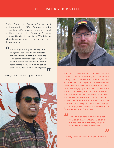### CELEBRATING OUR STAFF

Tesfaye Denbi, in the Recovery Empowerment Achievement in Life (REAL) Program, provides culturally specific substance use and mental health treatment services for African American youths and families. He joined us in 2014, bringing a broad range of experiences and knowledge to the community.

11 *I enjoy being a part of the REAL Program, because it encompasses trauma-informed care, a holistic and Afro-centric approach" says Tesfaye. "My favorite African proverb that guides our teamwork is, 'If you want to go fast, go alone. If you want to go far, go together.'*

Tesfaye Denbi, clinical supervisor, REAL





Tim Kelly, a Peer Wellness and Peer Support specialist, met only remotely with participants during 2020-21. He started in March 2020, just as the pandemic hit Oregon, and a week and a half later his team moved to remote work. Fortunately, he'd been engaging with LifeWorks NW since 2006, so Tim already knew and liked the agency from a variety of perspectives. As with all our peers, Tim has lived experience that he can draw on to support participants in the program. He knows first-hand how to navigate LifeWorks NW's therapy, groups and psychiatry, and has volunteered on our Consumer Advisory Committee.

" *I would not be here today if it were not for LifeWorks NW," Tim says. "LifeWorks NW has been a big part of my life, and I wanted to work here to give back.*

Tim Kelly, Peer Wellness & Support Specialist *"*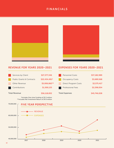### FINANCIALS





### REVENUE FOR YEARS 2020–2021 EXPENSES FOR YEARS 2020–2021

| Services by Client                   | \$27,377,346  |
|--------------------------------------|---------------|
| <b>Public Grants &amp; Contracts</b> | \$22,434,491* |
| Other Revenue                        | \$5,006,862** |
| Contributions                        | \$1,300,133   |
| <b>Total Revenue</b>                 | \$56,118,832  |

\*Includes One-time Funding of \$2.3 million \*\*Includes Net Investment Return of \$4.9 million

| <b>Personnel Costs</b>      | \$37,182,989 |
|-----------------------------|--------------|
| <b>Occupancy Costs</b>      | \$3,689,568  |
| <b>Direct Program Costs</b> | \$2,575,417  |
| <b>Professional Fees</b>    | \$2,298,054  |
| <b>Total Expenses</b>       | \$45,746,028 |

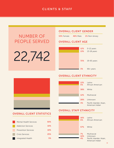### CLIENTS & STAFF

# NUMBER OF PEOPLE SERVED

22,742

### OVERALL CLIENT GENDER

53% Female 46% Male 1% Non-binary

### OVERALL CLIENT AGE



### OVERALL CLIENT ETHNICITY



### OVERALL CLIENT STATISTICS

| <b>Mental Health Services</b> | 50%        |
|-------------------------------|------------|
| <b>Addiction Services</b>     | <b>10%</b> |
| <b>Prevention Services</b>    | <b>10%</b> |
| Crisis Services               | 25%        |
| Integrated Health             | 5%         |

#### OVERALL STAFF ETHNICITY

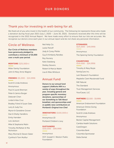### Thank you for investing in well-being for all.

We thank all of you who invest in the health of our community. The following list represents those who made a donation during fiscal year 2021 (July 1, 2020 – June 30, 2021). Donations received after this time will be recognized in the 2022 Annual Report. We have made every effort to ensure that our lists are accurate. We recognize our donors once each year in our annual report and do not share any personal information.

### Circle of Wellness

Our Circle of Wellness members have generously pledged to contribute a minimum of \$5,000 over a multi-year period.

#### MENTORS (\$25,000+)

Miller Family Foundation John & Mary Anne Wagner

#### FRIENDS (\$5,000 - \$24,999)

- Scott & Linda Andrews Anonymous Paul & Laurel Brennan Peter & Janice Burger Deborah Chen Linda & Alex Cruz Bradley Fishel & Susan Dale Larry & Judy Fox Myron & Geraldine Grover Dan & Shelly Handkins Emily Harnden Lois Jackson Mike & Stephanie Malin Timothy McMahan & Mia Nicholson Mary Monnat & Steven Slater Cynthia & Tom Mulflur
- Neil Kelly Co. Leslie Petroff Jody & Corey Pfeifer Guy & Kimberly Randles Roy Nursery Katie Stalsberg Shelley Stevens Robert & Marcia Walsh Lisa & Mike Whitlock

### Annual Fund

Donors to our annual fund support LifeWorks NW in a variety of ways throughout the year, including general and program-specific monetary donations, sponsorships of our *Something to Talk About* breakfast, and sponsorships and/ or paddle raise contributions at *Portland's Original Iron Chef*.

#### INNOVATORS (\$100,000+)

Anonymous (2) Portland Children's Levy

#### **SUSTAINERS** (\$50,000 - \$99,999)

Anonymous OCF Joseph E. Weston Public Foundation

#### STEWARDS (\$25,000 - \$49,999)

Anonymous The Spiering Family Foundation

#### **CHAMPIONS**

(\$10,000 - \$24,999)

Timothy & Mary Boyle FamilyCare Inc. Lam Research Foundation Maybelle Clark Macdonald Fund NW Natural The Standard Trust Management Services YourCause, LLC

#### PARTNERS (\$2,500 - \$9,999)

American Endowment Foundation American Online Giving Foundation Scott & Linda Andrews Anonymous Becker Capital Management Cambia Health Solutions CareOregon Columbia Bank Columbia Sportswear Delta Dental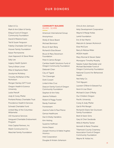Edlen & Co.

Mark & Ann Edlen & Family Elliqua Fund of Oregon Community Foundation David & Melanie Evans Ted & Susan Ferguson Fidelity Charitable Gift Fund Hoover Family Foundation Kaiser Permanente Joan Kapowich & Steve Miner Sally Lee Legacy Health System Tamy & Brian Linver Mike & Stephanie Malin Jocelynne McAdory Timothy McMahan & Mia Nicholson Morgan Stanley GIFT Fund Oregon Health & Science University Leslie Petroff Jody & Corey Pfeifer Portland Rotary Charitable Trust Providence Health & Services Schwab Charitable Fund United Way of the Columbia-Willamette USI Insurance Services Vanguard Charitable Endowment Program Vista Capital Partners, Inc Walsh Construction Co. Waschak Family Foundation

#### COMMUNITY BUILDERS (\$1,000 - \$2,499)

American International Group Anonymous Shelly & Steve Beard Michael Bennison Bruce & April Berg Richard & Elise Brown Bruce & Mary Stevenson Foundation Peter & Janice Burger Cambia Health Solutions Fund of Oregon Community Foundation Deborah Chen City of Tigard Tim Clevenger Dotti Cowart Linda & Alex Cruz Deacon Family Fund of Oregon Community Foundation Stephen & Kim Feltz Jeanne Fishback Robert & Peggy Fowler Randy Friedman Frontstream Joanne Fuller & Paul Pierce Genoa Healthcare Dan & Shelly Handkins Kim Heiting Suzanne Hoffman Home Depot Joseph Hromco & Adele Hughes Hromco Intel Corporation Douglas & Kristen Johanson

Chris & Ann Johnson Kelly Development Corporation Wayne & Marge Kollas Lamb Foundation Eric & Kari Martin Malcolm & Janeen McAninch Elise McClure Barry & Melissa Miller MODA Health Mary Monnat & Steven Slater Monsignor Timothy Murphy Natalie Hubert Bachelder and Michael Bachelder Fund of Oregon Community Foundation National Council for Behavioral Health Neil Kelly Co. Tinh Nguyen Laureen O'Brien & Edward Fus Kevin & Lisa Olson Michael & Joan O'Reilly Our Children Oregon Pacific University Corey & Jody Pfeifer Gail & Phil Rengel Richard & Diane Van Grunsven Family Foundation Brett & Karen Sims Gary & Cheri Swoboda Willis & Martha Tacker Kenneth & Marta Thrasher Tillamook County Creamery Association Fund of Oregon Community Foundation Wayne W. Kollas Inc.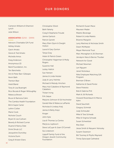Cameron Williams & Shannon Lynch Julie Wilson

#### ASSOCIATES (\$250 - \$999)

Advisors Charitable Gift Fund Ashley Amato Gavin Amato Gloria & Ted Amato Michelle Amos Kraig Anderson Anonymous (2) Baird Foundation, Inc. Teri Barichello Ann & Peter Barr-Gillespie Kevin Bath Trenton Blair Heidi Bland Tony & Lisa Boatright Rico Bocala & Roger Willoughby Rebecca Brown Bruce & Ramona Cahn The Cambia Health Foundation Bill & Gayle Carter LeAnn Collier Marie Cook Nichole Couch Bryan & Lisa Cullivan Beverly & Richard Currier Duane & Nancy Dale Drink Shrub LLC Jacqueline Dunckley Victoria Dunn

Greg & Kristen Eilers

Christopher Elliott Beth Faherty Craig & Stephanie Froude Jaimie Garlock Patrick Garrett Mary Ellen Glynn & Dwight **Holton** Laura & Gary Gorton Tanya Gray Helen & Patrick Green Christopher Hagerman & Molly Rogers Suzanne Hall Lesley Hallick Sue Hansen James & Linda Heisler Judy & Larry Helmke Michael & Melody Hinchen Mary Hull Caballero & Raymond Caballero Tristan Irving Erik Jaqua Marjorie Johnson & Ed Hochreiter Gerald Kibe & Rebecca LaPlante Nicholas & Lindsey Kralj James & Betty Krejci Kroger John Kyle Lisa & Thomas La Centra MaryLou Laybourn Steve LeCuyer & Joan O'Connell Sia Lindstrom Lippoff Family Fund of the Oregon Jewish Community Foundation

Richard & Susan Mace Maureen Mader Maletis Beverage Robert & Linda Maletis Brianne Margolin Larry Martinez & Nicholas Smith Dawn McMaster Meyer Memorial Trust Marc Monaghan & Jill Sherman Jerralynn Ness & Bernie Thurber Network for Good Michael Newman Lan Nguyen Janet Nickolaus Nike Employee Matching Gift Program Brennan O'Brien Katherine & David Porter Steve Potestio Bob & Sabrina Prill Mark & Jill Richards Howard Rosenbaum & Marcia Kahn David Sauchelli Gregory Schmidt Judy Schreuder Mike & Tara Schwab Mike & Virginia Schwab Susan Schweitzer Rita Silen Jesse Smith & Maryann Yelnosky Susann Swanson Bill Toomey & Phyllis Maynard Trinity Episcopal Cathedral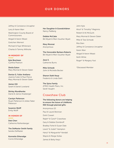Jeffrey & Constance Uncapher Larry & Karen Warr Washington County Board of Commissioners Abigail & Aaron Weast Gretchen Wernert Michael & Faye Whitenack Charles & Tammy Wilhoite

#### IN MEMORY OF

Kyle Brecheen Cynthia Pearson

Sheila Eaton Mary Monnat & Steven Slater

Denise G. Fuller Arellano Joanne Fuller & Paul Pierce Mary Monnat & Steven Slater

James Hill Sarah & Daniel Loveland

Shirley Mundhenke Darrel & Janice Kraxberger

Carolyn Patterson Stuart Patterson & Jollee Faber Patterson

Susanne Wolff Emily Wolff

#### IN HONOR OF

Deb Chen Catherine Rothenberger

The DeMaster Smith Family Sandra DeMaster

Konnette Etheredge Corrie Etheredge

Her Daughter & Grandchildren Nancy Padberg

Debbie McCabe Bill Wyatt & Merri Souther Wyatt

Mary Monnat Anonymous

The Honorable Barbara Roberts Bill Wyatt & Merri Souther Wyatt

Jessi S. Catherine Burns

Mike Schwab John & Michelle Becker

Sharon Stahl Keup Frederick & Linda Stahl

The Sylva Family ATRIO Health Plans, Inc. Sarah Vaughn

### Crawshaw Club

The following donors are helping to ensure the future of LifeWorks NW through planned gifts:

Anonymous (2) Paul & Laurel Brennan Dotti Cowart Ralph\* & Carol\* Crawshaw Gary & Debbie Dombroff Bradley Fishel & Susan Dale Lewis\* & Jodie\* Hampton Harry\* & Marguerite\* Kendall Wayne & Marge Kollas James & Betty Krejci

John Kyle Alice\* & Timothy\* Maginnis Robert & Ali McGuirk Mary Monnat & Steven Slater Mike & Tara Schwab Rita Silen Jeffrey & Constance Uncapher Karen Warr Abigail & Aaron Weast Keith White Roger\* & Margery Yost

*\*Deceased Member*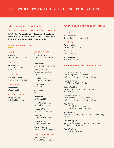### Mental Health & Addiction Services for a Healthy Community

LifeWorks NW has clinics in Beaverton, Gladstone, Hillsboro, Tigard and Milwaukie. We also have them in North, Northeast and Northwest Portland.

#### BOARD OF DIRECTORS

#### **CHAIR**

Abby Weast Friends of the Children

#### VICE CHAIR

Jody Pfeifer Standard Insurance Company

#### SECRETARY

Laureen O'Brien Community Volunteer

#### TREASURER

Dave Evans Moda Health

#### OFFICER AT LARGE

Deborah Chen K12/Fuel Education

#### BOARD MEMBERS

Tyler Anderson Oregon Department of **Justice** 

Tim Clevenger Cambia Health Solutions

Linda Cruz, MD Providence Health & Services

Mary Ellen Glynn Columbia Sportswear

Tamy Linver NW Natural

Mike Malin Nike

Eric Martin Stoel Rives LLP

Larry Martinez, Ph.D. Portland State University

Michael O'Reilly Vista Capital Partners

Roy Pittman Community Volunteer

Jeff Uncapher Community Volunteer

Paul Weatheroy Community Volunteer

#### DIRECTOR EMERITUS

Ed Washington Portland State University

#### PLANNED GIVING ADVISORY COMMITTEE

#### **CHAIR**

Pat Becker, Jr. Becker Capital Management

#### MEMBERS

Wayne Kollas Wayne Kollas Insurance

Eric Martin Stoel Rives LLP

Bob McGuirk RMC Consulting

#### AFRICAN AMERICAN ADVISORY BOARD

Ebony Sloan Clarke Health Department Director Multnomah County Health Department

Michelle Harper UNCF Board Chair – Portland

Sandra Jenkins Pacific University School of Professional Psychology

Deandre Kenyanjui Consumer Engagement Coordinator Multnomah County Health Department

Roy Pittman Head Coach, Peninsula Wrestling Community volunteer & activist

Nate Roberts Multnomah County Department of Community **Justice** 

Ed Washington Community Liaison for Diversity Initiatives Portland State University

Paul Weatheroy Community Volunteer